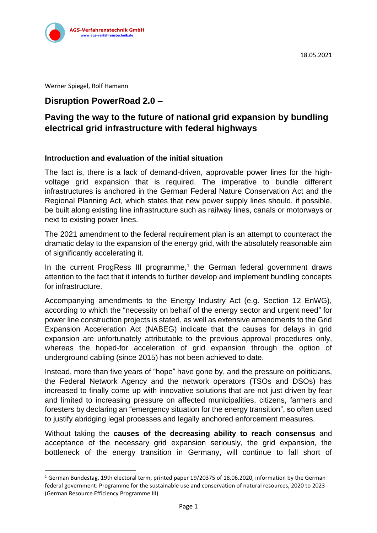

Werner Spiegel, Rolf Hamann

## **Disruption PowerRoad 2.0 –**

# **Paving the way to the future of national grid expansion by bundling electrical grid infrastructure with federal highways**

#### **Introduction and evaluation of the initial situation**

The fact is, there is a lack of demand-driven, approvable power lines for the highvoltage grid expansion that is required. The imperative to bundle different infrastructures is anchored in the German Federal Nature Conservation Act and the Regional Planning Act, which states that new power supply lines should, if possible, be built along existing line infrastructure such as railway lines, canals or motorways or next to existing power lines.

The 2021 amendment to the federal requirement plan is an attempt to counteract the dramatic delay to the expansion of the energy grid, with the absolutely reasonable aim of significantly accelerating it.

In the current ProgRess III programme,<sup>1</sup> the German federal government draws attention to the fact that it intends to further develop and implement bundling concepts for infrastructure.

Accompanying amendments to the Energy Industry Act (e.g. Section 12 EnWG), according to which the "necessity on behalf of the energy sector and urgent need" for power line construction projects is stated, as well as extensive amendments to the Grid Expansion Acceleration Act (NABEG) indicate that the causes for delays in grid expansion are unfortunately attributable to the previous approval procedures only, whereas the hoped-for acceleration of grid expansion through the option of underground cabling (since 2015) has not been achieved to date.

Instead, more than five years of "hope" have gone by, and the pressure on politicians, the Federal Network Agency and the network operators (TSOs and DSOs) has increased to finally come up with innovative solutions that are not just driven by fear and limited to increasing pressure on affected municipalities, citizens, farmers and foresters by declaring an "emergency situation for the energy transition", so often used to justify abridging legal processes and legally anchored enforcement measures.

Without taking the **causes of the decreasing ability to reach consensus** and acceptance of the necessary grid expansion seriously, the grid expansion, the bottleneck of the energy transition in Germany, will continue to fall short of

<sup>&</sup>lt;sup>1</sup> German Bundestag, 19th electoral term, printed paper 19/20375 of 18.06.2020, information by the German federal government: Programme for the sustainable use and conservation of natural resources, 2020 to 2023 (German Resource Efficiency Programme III)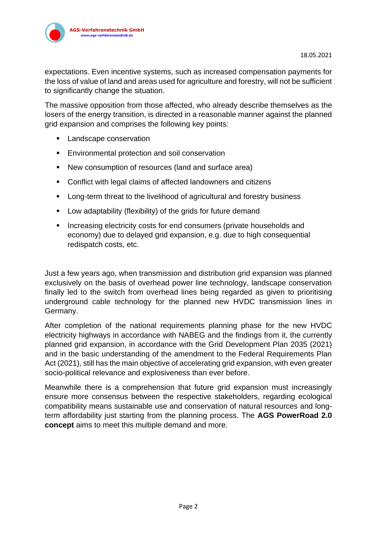

expectations. Even incentive systems, such as increased compensation payments for the loss of value of land and areas used for agriculture and forestry, will not be sufficient to significantly change the situation.

The massive opposition from those affected, who already describe themselves as the losers of the energy transition, is directed in a reasonable manner against the planned grid expansion and comprises the following key points:

- Landscape conservation
- Environmental protection and soil conservation
- New consumption of resources (land and surface area)
- Conflict with legal claims of affected landowners and citizens
- Long-term threat to the livelihood of agricultural and forestry business
- Low adaptability (flexibility) of the grids for future demand
- **E** Increasing electricity costs for end consumers (private households and economy) due to delayed grid expansion, e.g. due to high consequential redispatch costs, etc.

Just a few years ago, when transmission and distribution grid expansion was planned exclusively on the basis of overhead power line technology, landscape conservation finally led to the switch from overhead lines being regarded as given to prioritising underground cable technology for the planned new HVDC transmission lines in Germany.

After completion of the national requirements planning phase for the new HVDC electricity highways in accordance with NABEG and the findings from it, the currently planned grid expansion, in accordance with the Grid Development Plan 2035 (2021) and in the basic understanding of the amendment to the Federal Requirements Plan Act (2021), still has the main objective of accelerating grid expansion, with even greater socio-political relevance and explosiveness than ever before.

Meanwhile there is a comprehension that future grid expansion must increasingly ensure more consensus between the respective stakeholders, regarding ecological compatibility means sustainable use and conservation of natural resources and longterm affordability just starting from the planning process. The **AGS PowerRoad 2.0 concept** aims to meet this multiple demand and more.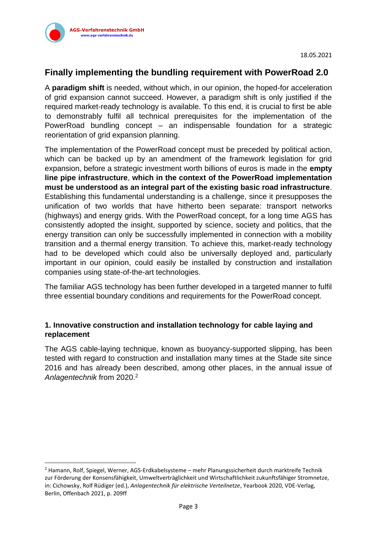

# **Finally implementing the bundling requirement with PowerRoad 2.0**

A **paradigm shift** is needed, without which, in our opinion, the hoped-for acceleration of grid expansion cannot succeed. However, a paradigm shift is only justified if the required market-ready technology is available. To this end, it is crucial to first be able to demonstrably fulfil all technical prerequisites for the implementation of the PowerRoad bundling concept – an indispensable foundation for a strategic reorientation of grid expansion planning.

The implementation of the PowerRoad concept must be preceded by political action, which can be backed up by an amendment of the framework legislation for grid expansion, before a strategic investment worth billions of euros is made in the **empty line pipe infrastructure**, **which in the context of the PowerRoad implementation must be understood as an integral part of the existing basic road infrastructure**. Establishing this fundamental understanding is a challenge, since it presupposes the unification of two worlds that have hitherto been separate: transport networks (highways) and energy grids. With the PowerRoad concept, for a long time AGS has consistently adopted the insight, supported by science, society and politics, that the energy transition can only be successfully implemented in connection with a mobility transition and a thermal energy transition. To achieve this, market-ready technology had to be developed which could also be universally deployed and, particularly important in our opinion, could easily be installed by construction and installation companies using state-of-the-art technologies.

The familiar AGS technology has been further developed in a targeted manner to fulfil three essential boundary conditions and requirements for the PowerRoad concept.

#### **1. Innovative construction and installation technology for cable laying and replacement**

The AGS cable-laying technique, known as buoyancy-supported slipping, has been tested with regard to construction and installation many times at the Stade site since 2016 and has already been described, among other places, in the annual issue of *Anlagentechnik* from 2020.<sup>2</sup>

<sup>2</sup> Hamann, Rolf, Spiegel, Werner, AGS-Erdkabelsysteme – mehr Planungssicherheit durch marktreife Technik zur Förderung der Konsensfähigkeit, Umweltverträglichkeit und Wirtschaftlichkeit zukunftsfähiger Stromnetze, in: Cichowsky, Rolf Rüdiger (ed.), *Anlagentechnik für elektrische Verteilnetze*, Yearbook 2020, VDE-Verlag, Berlin, Offenbach 2021, p. 209ff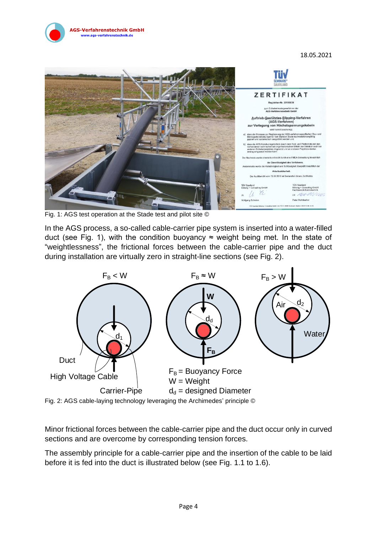18.05.2021



Fig. 1: AGS test operation at the Stade test and pilot site ©

**GS-Verfahrenstechnik GmbH** verfahrenstechnik

In the AGS process, a so-called cable-carrier pipe system is inserted into a water-filled duct (see Fig. 1), with the condition buoyancy  $\approx$  weight being met. In the state of "weightlessness", the frictional forces between the cable-carrier pipe and the duct during installation are virtually zero in straight-line sections (see Fig. 2).





Minor frictional forces between the cable-carrier pipe and the duct occur only in curved sections and are overcome by corresponding tension forces.

The assembly principle for a cable-carrier pipe and the insertion of the cable to be laid before it is fed into the duct is illustrated below (see Fig. 1.1 to 1.6).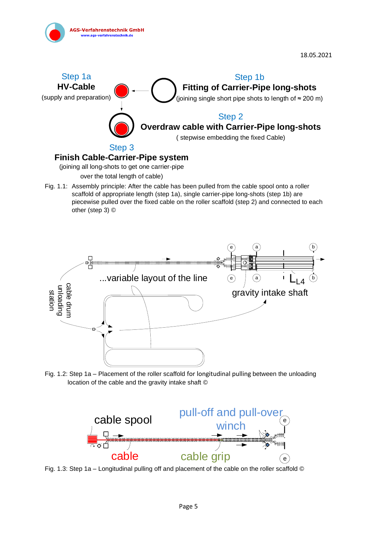

### **Finish Cable-Carrier-Pipe system**

(joining all long-shots to get one carrier-pipe

over the total length of cable)

Fig. 1.1: Assembly principle: After the cable has been pulled from the cable spool onto a roller scaffold of appropriate length (step 1a), single carrier-pipe long-shots (step 1b) are piecewise pulled over the fixed cable on the roller scaffold (step 2) and connected to each other (step 3) ©



Fig. 1.2: Step 1a – Placement of the roller scaffold for longitudinal pulling between the unloading location of the cable and the gravity intake shaft ©



Fig. 1.3: Step 1a – Longitudinal pulling off and placement of the cable on the roller scaffold ©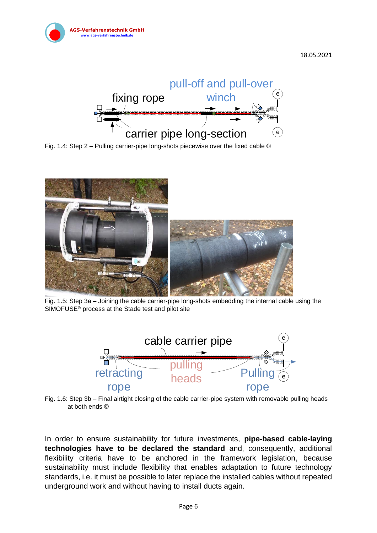

18.05.2021



Fig. 1.4: Step 2 – Pulling carrier-pipe long-shots piecewise over the fixed cable ©



Fig. 1.5: Step 3a – Joining the cable carrier-pipe long-shots embedding the internal cable using the SIMOFUSE® process at the Stade test and pilot site



Fig. 1.6: Step 3b – Final airtight closing of the cable carrier-pipe system with removable pulling heads at both ends ©

In order to ensure sustainability for future investments, **pipe-based cable-laying technologies have to be declared the standard** and, consequently, additional flexibility criteria have to be anchored in the framework legislation, because sustainability must include flexibility that enables adaptation to future technology standards, i.e. it must be possible to later replace the installed cables without repeated underground work and without having to install ducts again.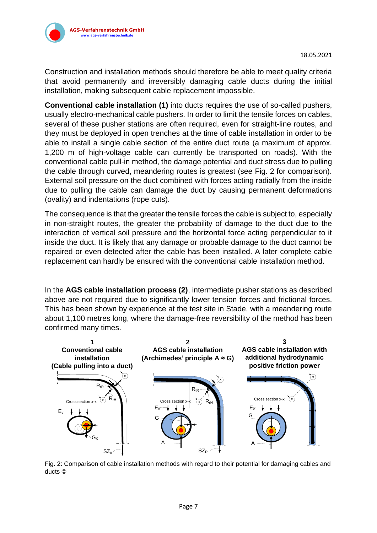

verfahrenstechnik.

Construction and installation methods should therefore be able to meet quality criteria that avoid permanently and irreversibly damaging cable ducts during the initial installation, making subsequent cable replacement impossible.

**Conventional cable installation (1)** into ducts requires the use of so-called pushers, usually electro-mechanical cable pushers. In order to limit the tensile forces on cables, several of these pusher stations are often required, even for straight-line routes, and they must be deployed in open trenches at the time of cable installation in order to be able to install a single cable section of the entire duct route (a maximum of approx. 1,200 m of high-voltage cable can currently be transported on roads). With the conventional cable pull-in method, the damage potential and duct stress due to pulling the cable through curved, meandering routes is greatest (see Fig. 2 for comparison). External soil pressure on the duct combined with forces acting radially from the inside due to pulling the cable can damage the duct by causing permanent deformations (ovality) and indentations (rope cuts).

The consequence is that the greater the tensile forces the cable is subject to, especially in non-straight routes, the greater the probability of damage to the duct due to the interaction of vertical soil pressure and the horizontal force acting perpendicular to it inside the duct. It is likely that any damage or probable damage to the duct cannot be repaired or even detected after the cable has been installed. A later complete cable replacement can hardly be ensured with the conventional cable installation method.

In the **AGS cable installation process (2)**, intermediate pusher stations as described above are not required due to significantly lower tension forces and frictional forces. This has been shown by experience at the test site in Stade, with a meandering route about 1,100 metres long, where the damage-free reversibility of the method has been confirmed many times.



Fig. 2: Comparison of cable installation methods with regard to their potential for damaging cables and ducts ©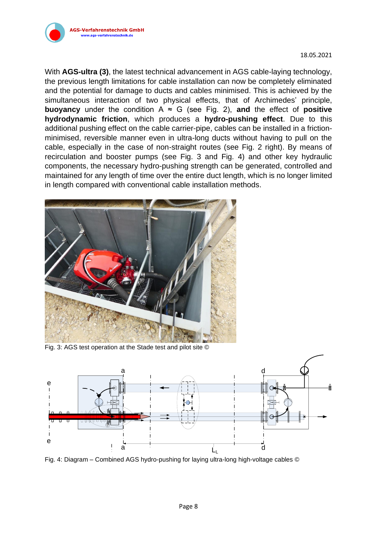

18.05.2021

With **AGS-ultra (3)**, the latest technical advancement in AGS cable-laying technology, the previous length limitations for cable installation can now be completely eliminated and the potential for damage to ducts and cables minimised. This is achieved by the simultaneous interaction of two physical effects, that of Archimedes' principle, **buoyancy** under the condition  $A \approx G$  (see Fig. 2), and the effect of **positive hydrodynamic friction**, which produces a **hydro-pushing effect**. Due to this additional pushing effect on the cable carrier-pipe, cables can be installed in a frictionminimised, reversible manner even in ultra-long ducts without having to pull on the cable, especially in the case of non-straight routes (see Fig. 2 right). By means of recirculation and booster pumps (see Fig. 3 and Fig. 4) and other key hydraulic components, the necessary hydro-pushing strength can be generated, controlled and maintained for any length of time over the entire duct length, which is no longer limited in length compared with conventional cable installation methods.



Fig. 3: AGS test operation at the Stade test and pilot site ©



Fig. 4: Diagram – Combined AGS hydro-pushing for laying ultra-long high-voltage cables ©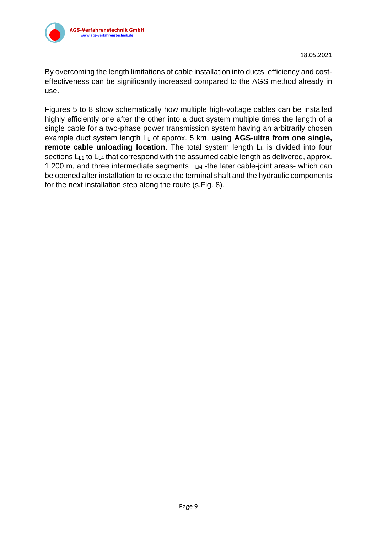

By overcoming the length limitations of cable installation into ducts, efficiency and costeffectiveness can be significantly increased compared to the AGS method already in use.

Figures 5 to 8 show schematically how multiple high-voltage cables can be installed highly efficiently one after the other into a duct system multiple times the length of a single cable for a two-phase power transmission system having an arbitrarily chosen example duct system length L<sup>L</sup> of approx. 5 km, **using AGS-ultra from one single, remote cable unloading location**. The total system length L<sup>L</sup> is divided into four sections L<sub>L1</sub> to L<sub>L4</sub> that correspond with the assumed cable length as delivered, approx. 1,200 m, and three intermediate segments L<sub>LM</sub> -the later cable-joint areas- which can be opened after installation to relocate the terminal shaft and the hydraulic components for the next installation step along the route (s.Fig. 8).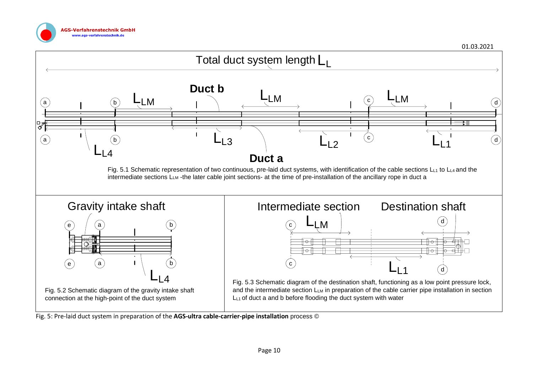



Fig. 5: Pre-laid duct system in preparation of the **AGS-ultra cable-carrier-pipe installation** process ©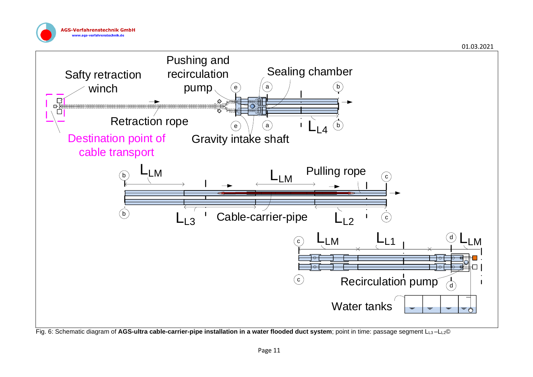



Fig. 6: Schematic diagram of **AGS-ultra cable-carrier-pipe installation in a water flooded duct system**; point in time: passage segment LL3 –LL2©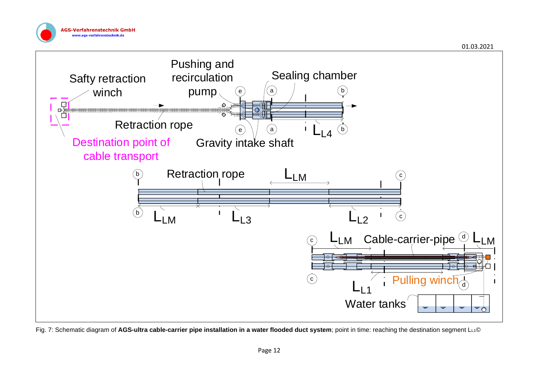



Fig. 7: Schematic diagram of AGS-ultra cable-carrier pipe installation in a water flooded duct system; point in time: reaching the destination segment L<sub>L1</sub>©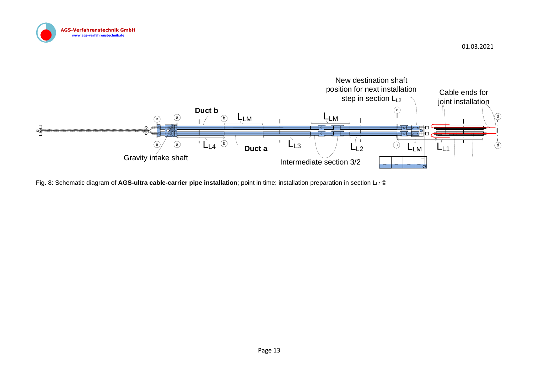



Fig. 8: Schematic diagram of AGS-ultra cable-carrier pipe installation; point in time: installation preparation in section LL2 ©

01.03.2021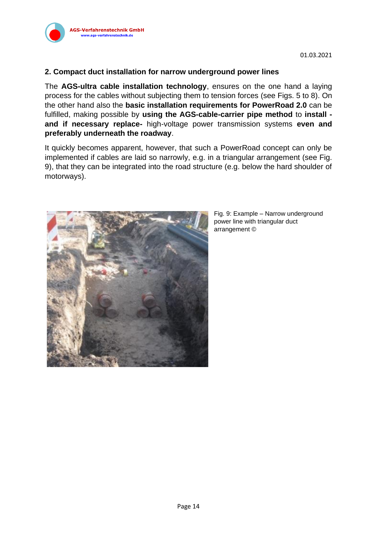

#### **2. Compact duct installation for narrow underground power lines**

The **AGS-ultra cable installation technology**, ensures on the one hand a laying process for the cables without subjecting them to tension forces (see Figs. 5 to 8). On the other hand also the **basic installation requirements for PowerRoad 2.0** can be fulfilled, making possible by **using the AGS-cable-carrier pipe method** to **install and if necessary replace-** high-voltage power transmission systems **even and preferably underneath the roadway**.

It quickly becomes apparent, however, that such a PowerRoad concept can only be implemented if cables are laid so narrowly, e.g. in a triangular arrangement (see Fig. 9), that they can be integrated into the road structure (e.g. below the hard shoulder of motorways).



Fig. 9: Example – Narrow underground power line with triangular duct arrangement ©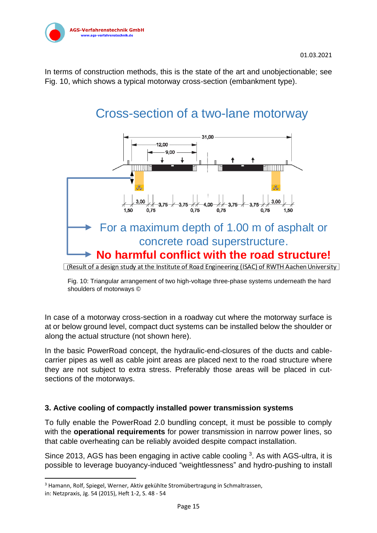

In terms of construction methods, this is the state of the art and unobjectionable; see Fig. 10, which shows a typical motorway cross-section (embankment type).

# Cross-section of a two-lane motorway



Fig. 10: Triangular arrangement of two high-voltage three-phase systems underneath the hard shoulders of motorways ©

In case of a motorway cross-section in a roadway cut where the motorway surface is at or below ground level, compact duct systems can be installed below the shoulder or along the actual structure (not shown here).

In the basic PowerRoad concept, the hydraulic-end-closures of the ducts and cablecarrier pipes as well as cable joint areas are placed next to the road structure where they are not subject to extra stress. Preferably those areas will be placed in cutsections of the motorways.

#### **3. Active cooling of compactly installed power transmission systems**

To fully enable the PowerRoad 2.0 bundling concept, it must be possible to comply with the **operational requirements** for power transmission in narrow power lines, so that cable overheating can be reliably avoided despite compact installation.

Since 2013, AGS has been engaging in active cable cooling  $3$ . As with AGS-ultra, it is possible to leverage buoyancy-induced "weightlessness" and hydro-pushing to install

<sup>3</sup> Hamann, Rolf, Spiegel, Werner, Aktiv gekühlte Stromübertragung in Schmaltrassen,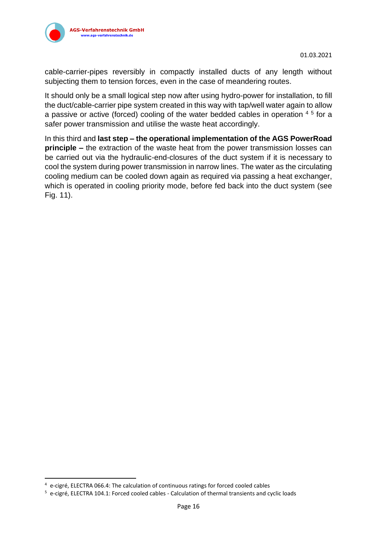

cable-carrier-pipes reversibly in compactly installed ducts of any length without subjecting them to tension forces, even in the case of meandering routes.

It should only be a small logical step now after using hydro-power for installation, to fill the duct/cable-carrier pipe system created in this way with tap/well water again to allow a passive or active (forced) cooling of the water bedded cables in operation  $4\,5$  for a safer power transmission and utilise the waste heat accordingly.

In this third and **last step – the operational implementation of the AGS PowerRoad principle** – the extraction of the waste heat from the power transmission losses can be carried out via the hydraulic-end-closures of the duct system if it is necessary to cool the system during power transmission in narrow lines. The water as the circulating cooling medium can be cooled down again as required via passing a heat exchanger, which is operated in cooling priority mode, before fed back into the duct system (see Fig. 11).

<sup>4</sup> e-cigré, ELECTRA 066.4: The calculation of continuous ratings for forced cooled cables

<sup>5</sup> e-cigré, ELECTRA 104.1: Forced cooled cables - Calculation of thermal transients and cyclic loads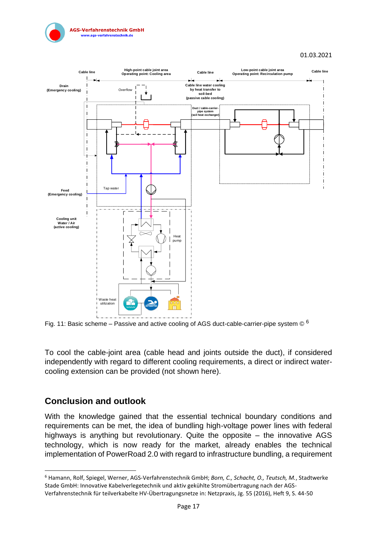



Fig. 11: Basic scheme – Passive and active cooling of AGS duct-cable-carrier-pipe system  $\circledcirc$  6

To cool the cable-joint area (cable head and joints outside the duct), if considered independently with regard to different cooling requirements, a direct or indirect watercooling extension can be provided (not shown here).

## **Conclusion and outlook**

With the knowledge gained that the essential technical boundary conditions and requirements can be met, the idea of bundling high-voltage power lines with federal highways is anything but revolutionary. Quite the opposite – the innovative AGS technology, which is now ready for the market, already enables the technical implementation of PowerRoad 2.0 with regard to infrastructure bundling, a requirement

<sup>6</sup> Hamann, Rolf, Spiegel, Werner, AGS-Verfahrenstechnik GmbH; *Born, C., Schacht, O., Teutsch, M.*, Stadtwerke Stade GmbH: Innovative Kabelverlegetechnik und aktiv gekühlte Stromübertragung nach der AGS-Verfahrenstechnik für teilverkabelte HV-Übertragungsnetze in: Netzpraxis, Jg. 55 (2016), Heft 9, S. 44-50